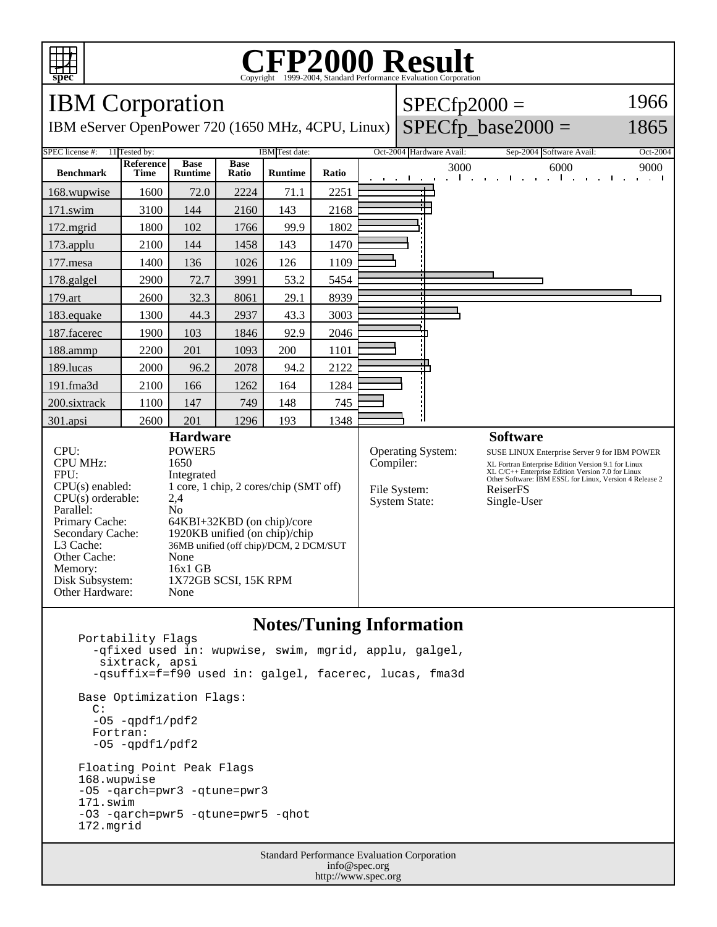

## Copyright ©1999-2004, Standard Performance Evaluation Corporation

| <b>IBM</b> Corporation                                                                                                                                                                                     |                          |                                                                                                                                                                                                                                                                                |                      |                |       |  | 1966<br>$SPECfp2000 =$                                                        |                          |                                                                                                                                                                                                                                                                   |                                                          |
|------------------------------------------------------------------------------------------------------------------------------------------------------------------------------------------------------------|--------------------------|--------------------------------------------------------------------------------------------------------------------------------------------------------------------------------------------------------------------------------------------------------------------------------|----------------------|----------------|-------|--|-------------------------------------------------------------------------------|--------------------------|-------------------------------------------------------------------------------------------------------------------------------------------------------------------------------------------------------------------------------------------------------------------|----------------------------------------------------------|
| IBM eServer OpenPower 720 (1650 MHz, 4CPU, Linux)                                                                                                                                                          |                          |                                                                                                                                                                                                                                                                                |                      |                |       |  |                                                                               |                          | $SPECfp\_base2000 =$                                                                                                                                                                                                                                              | 1865                                                     |
| 11 Tested by:<br>IBM Test date:<br>SPEC license #:                                                                                                                                                         |                          |                                                                                                                                                                                                                                                                                |                      |                |       |  |                                                                               | Oct-2004 Hardware Avail: | Sep-2004 Software Avail:                                                                                                                                                                                                                                          | Oct-2004                                                 |
| <b>Benchmark</b>                                                                                                                                                                                           | <b>Reference</b><br>Time | <b>Base</b><br><b>Runtime</b>                                                                                                                                                                                                                                                  | <b>Base</b><br>Ratio | <b>Runtime</b> | Ratio |  |                                                                               | 3000<br>$\mathbf{I}$     | 6000<br>$-1 - -$<br>$\sim 10$                                                                                                                                                                                                                                     | 9000<br>$\sim$ $\sim$ $\sim$ $\sim$ $\sim$ $\sim$ $\sim$ |
| 168.wupwise                                                                                                                                                                                                | 1600                     | 72.0                                                                                                                                                                                                                                                                           | 2224                 | 71.1           | 2251  |  |                                                                               |                          |                                                                                                                                                                                                                                                                   |                                                          |
| 171.swim                                                                                                                                                                                                   | 3100                     | 144                                                                                                                                                                                                                                                                            | 2160                 | 143            | 2168  |  |                                                                               |                          |                                                                                                                                                                                                                                                                   |                                                          |
| 172.mgrid                                                                                                                                                                                                  | 1800                     | 102                                                                                                                                                                                                                                                                            | 1766                 | 99.9           | 1802  |  |                                                                               |                          |                                                                                                                                                                                                                                                                   |                                                          |
| 173.applu                                                                                                                                                                                                  | 2100                     | 144                                                                                                                                                                                                                                                                            | 1458                 | 143            | 1470  |  |                                                                               |                          |                                                                                                                                                                                                                                                                   |                                                          |
| 177.mesa                                                                                                                                                                                                   | 1400                     | 136                                                                                                                                                                                                                                                                            | 1026                 | 126            | 1109  |  |                                                                               |                          |                                                                                                                                                                                                                                                                   |                                                          |
| 178.galgel                                                                                                                                                                                                 | 2900                     | 72.7                                                                                                                                                                                                                                                                           | 3991                 | 53.2           | 5454  |  |                                                                               |                          |                                                                                                                                                                                                                                                                   |                                                          |
| 179.art                                                                                                                                                                                                    | 2600                     | 32.3                                                                                                                                                                                                                                                                           | 8061                 | 29.1           | 8939  |  |                                                                               |                          |                                                                                                                                                                                                                                                                   |                                                          |
| 183.equake                                                                                                                                                                                                 | 1300                     | 44.3                                                                                                                                                                                                                                                                           | 2937                 | 43.3           | 3003  |  |                                                                               |                          |                                                                                                                                                                                                                                                                   |                                                          |
| 187.facerec                                                                                                                                                                                                | 1900                     | 103                                                                                                                                                                                                                                                                            | 1846                 | 92.9           | 2046  |  |                                                                               |                          |                                                                                                                                                                                                                                                                   |                                                          |
| 188.ammp                                                                                                                                                                                                   | 2200                     | 201                                                                                                                                                                                                                                                                            | 1093                 | 200            | 1101  |  |                                                                               |                          |                                                                                                                                                                                                                                                                   |                                                          |
| 189.lucas                                                                                                                                                                                                  | 2000                     | 96.2                                                                                                                                                                                                                                                                           | 2078                 | 94.2           | 2122  |  |                                                                               |                          |                                                                                                                                                                                                                                                                   |                                                          |
| 191.fma3d                                                                                                                                                                                                  | 2100                     | 166                                                                                                                                                                                                                                                                            | 1262                 | 164            | 1284  |  |                                                                               |                          |                                                                                                                                                                                                                                                                   |                                                          |
| 200.sixtrack                                                                                                                                                                                               | 1100                     | 147                                                                                                                                                                                                                                                                            | 749                  | 148            | 745   |  |                                                                               |                          |                                                                                                                                                                                                                                                                   |                                                          |
| 301.apsi                                                                                                                                                                                                   | 2600                     | 201                                                                                                                                                                                                                                                                            | 1296                 | 193            | 1348  |  |                                                                               |                          |                                                                                                                                                                                                                                                                   |                                                          |
| CPU:<br><b>CPU MHz:</b><br>FPU:<br>$CPU(s)$ enabled:<br>CPU(s) orderable:<br>Parallel:<br>Primary Cache:<br>Secondary Cache:<br>L3 Cache:<br>Other Cache:<br>Memory:<br>Disk Subsystem:<br>Other Hardware: |                          | <b>Hardware</b><br>POWER5<br>1650<br>Integrated<br>1 core, 1 chip, 2 cores/chip (SMT off)<br>2,4<br>N <sub>o</sub><br>64KBI+32KBD (on chip)/core<br>1920KB unified (on chip)/chip<br>36MB unified (off chip)/DCM, 2 DCM/SUT<br>None<br>16x1 GB<br>1X72GB SCSI, 15K RPM<br>None |                      |                |       |  | <b>Operating System:</b><br>Compiler:<br>File System:<br><b>System State:</b> |                          | <b>Software</b><br>SUSE LINUX Enterprise Server 9 for IBM POWER<br>XL Fortran Enterprise Edition Version 9.1 for Linux<br>XL C/C++ Enterprise Edition Version 7.0 for Linux<br>Other Software: IBM ESSL for Linux, Version 4 Release 2<br>ReiserFS<br>Single-User |                                                          |
| <b>Notes/Tuning Information</b>                                                                                                                                                                            |                          |                                                                                                                                                                                                                                                                                |                      |                |       |  |                                                                               |                          |                                                                                                                                                                                                                                                                   |                                                          |

## **Notes/Tuning Information**

 Portability Flags -qfixed used in: wupwise, swim, mgrid, applu, galgel, sixtrack, apsi -qsuffix=f=f90 used in: galgel, facerec, lucas, fma3d Base Optimization Flags: C: -O5 -qpdf1/pdf2 Fortran: -O5 -qpdf1/pdf2 Floating Point Peak Flags 168.wupwise -O5 -qarch=pwr3 -qtune=pwr3 171.swim -O3 -qarch=pwr5 -qtune=pwr5 -qhot 172.mgrid

> Standard Performance Evaluation Corporation info@spec.org http://www.spec.org